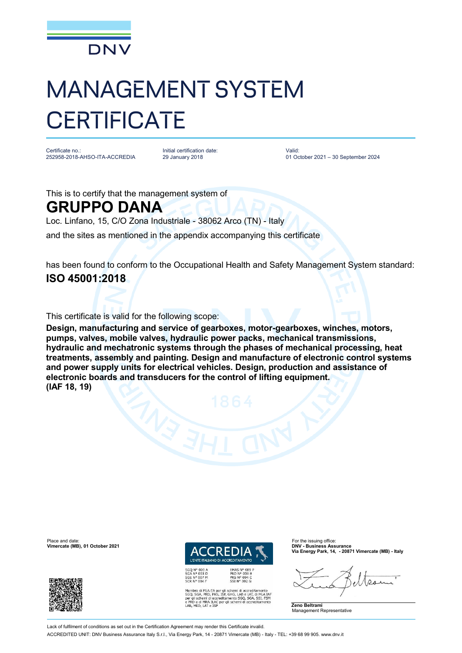

## MANAGEMENT SYSTEM **CERTIFICATE**

Certificate no.: 252958-2018-AHSO-ITA-ACCREDIA Initial certification date: 29 January 2018

Valid: 01 October 2021 – 30 September 2024

This is to certify that the management system of

## **GRUPPO DANA**

Loc. Linfano, 15, C/O Zona Industriale - 38062 Arco (TN) - Italy

and the sites as mentioned in the appendix accompanying this certificate

has been found to conform to the Occupational Health and Safety Management System standard: **ISO 45001:2018**

This certificate is valid for the following scope:

**Design, manufacturing and service of gearboxes, motor-gearboxes, winches, motors, pumps, valves, mobile valves, hydraulic power packs, mechanical transmissions, hydraulic and mechatronic systems through the phases of mechanical processing, heat treatments, assembly and painting. Design and manufacture of electronic control systems and power supply units for electrical vehicles. Design, production and assistance of electronic boards and transducers for the control of lifting equipment. (IAF 18, 19)**

Place and date: For the issuing office:<br>**Vimercate (MB), 01 October 2021 DNV - Business Assurance** 



L'ENTE ITALIANO DI ACCREDITAMENTO EMAS Nº 009 F

EMAS N° 009<br>PRD N° 003 B<br>PRS N° 094 C<br>SSI N° 002 G

**Via Energy Park, 14, - 20871 Vimercate (MB) - Italy**

 $Q_{12}$ 

**Zeno Beltrami** Management Representative

Membro di MLA EA per gli schemi di accreditamento<br>SGO, SGA, PRD, PRS, ISP, GHG, LAB e LAT, di MLA IAT<br>per gli schemi di accreditamento SGO, SGA, SSI, FSM<br>e PRD e di MRA ILAC per gli schemi di accreditamento<br>LAB, MED, LAT e

Lack of fulfilment of conditions as set out in the Certification Agreement may render this Certificate invalid ACCREDITED UNIT: DNV Business Assurance Italy S.r.l., Via Energy Park, 14 - 20871 Vimercate (MB) - Italy - TEL: +39 68 99 905. [www.dnv.it](http://www.dnv.it)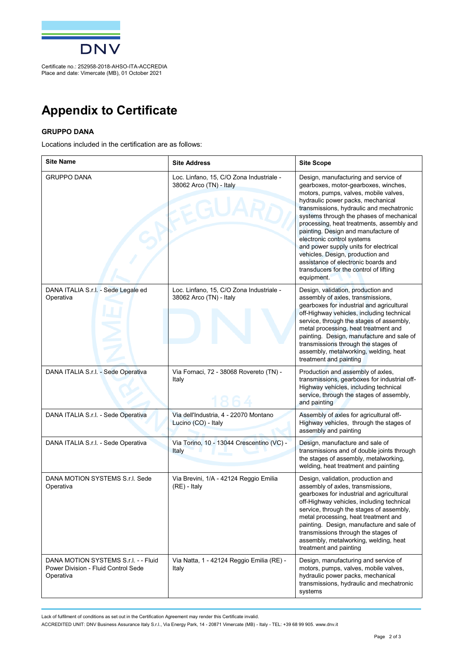

Certificate no.: 252958-2018-AHSO-ITA-ACCREDIA Place and date: Vimercate (MB), 01 October 2021

## **Appendix to Certificate**

## **GRUPPO DANA**

Locations included in the certification are as follows:

| <b>Site Name</b>                                                                         | <b>Site Address</b>                                                 | <b>Site Scope</b>                                                                                                                                                                                                                                                                                                                                                                                                                                                                                                                                |
|------------------------------------------------------------------------------------------|---------------------------------------------------------------------|--------------------------------------------------------------------------------------------------------------------------------------------------------------------------------------------------------------------------------------------------------------------------------------------------------------------------------------------------------------------------------------------------------------------------------------------------------------------------------------------------------------------------------------------------|
| <b>GRUPPO DANA</b>                                                                       | Loc. Linfano, 15, C/O Zona Industriale -<br>38062 Arco (TN) - Italy | Design, manufacturing and service of<br>gearboxes, motor-gearboxes, winches,<br>motors, pumps, valves, mobile valves,<br>hydraulic power packs, mechanical<br>transmissions, hydraulic and mechatronic<br>systems through the phases of mechanical<br>processing, heat treatments, assembly and<br>painting. Design and manufacture of<br>electronic control systems<br>and power supply units for electrical<br>vehicles. Design, production and<br>assistance of electronic boards and<br>transducers for the control of lifting<br>equipment. |
| DANA ITALIA S.r.l. - Sede Legale ed<br>Operativa                                         | Loc. Linfano, 15, C/O Zona Industriale -<br>38062 Arco (TN) - Italy | Design, validation, production and<br>assembly of axles, transmissions,<br>gearboxes for industrial and agricultural<br>off-Highway vehicles, including technical<br>service, through the stages of assembly,<br>metal processing, heat treatment and<br>painting. Design, manufacture and sale of<br>transmissions through the stages of<br>assembly, metalworking, welding, heat<br>treatment and painting                                                                                                                                     |
| DANA ITALIA S.r.l. - Sede Operativa                                                      | Via Fornaci, 72 - 38068 Rovereto (TN) -<br>Italy                    | Production and assembly of axles,<br>transmissions, gearboxes for industrial off-<br>Highway vehicles, including technical<br>service, through the stages of assembly,<br>and painting                                                                                                                                                                                                                                                                                                                                                           |
| DANA ITALIA S.r.l. - Sede Operativa                                                      | Via dell'Industria, 4 - 22070 Montano<br>Lucino (CO) - Italy        | Assembly of axles for agricultural off-<br>Highway vehicles, through the stages of<br>assembly and painting                                                                                                                                                                                                                                                                                                                                                                                                                                      |
| DANA ITALIA S.r.l. - Sede Operativa                                                      | Via Torino, 10 - 13044 Crescentino (VC) -<br><b>Italy</b>           | Design, manufacture and sale of<br>transmissions and of double joints through<br>the stages of assembly, metalworking,<br>welding, heat treatment and painting                                                                                                                                                                                                                                                                                                                                                                                   |
| DANA MOTION SYSTEMS S.r.l. Sede<br>Operativa                                             | Via Brevini, 1/A - 42124 Reggio Emilia<br>$(RE)$ - Italy            | Design, validation, production and<br>assembly of axles, transmissions,<br>gearboxes for industrial and agricultural<br>off-Highway vehicles, including technical<br>service, through the stages of assembly,<br>metal processing, heat treatment and<br>painting. Design, manufacture and sale of<br>transmissions through the stages of<br>assembly, metalworking, welding, heat<br>treatment and painting                                                                                                                                     |
| DANA MOTION SYSTEMS S.r.l. - - Fluid<br>Power Division - Fluid Control Sede<br>Operativa | Via Natta, 1 - 42124 Reggio Emilia (RE) -<br>Italy                  | Design, manufacturing and service of<br>motors, pumps, valves, mobile valves,<br>hydraulic power packs, mechanical<br>transmissions, hydraulic and mechatronic<br>systems                                                                                                                                                                                                                                                                                                                                                                        |

Lack of fulfilment of conditions as set out in the Certification Agreement may render this Certificate invalid.

ACCREDITED UNIT: DNV Business Assurance Italy S.r.l., Via Energy Park, 14 - 20871 Vimercate (MB) - Italy - TEL: +39 68 99 905. [www.dnv.it](http://www.dnv.it)